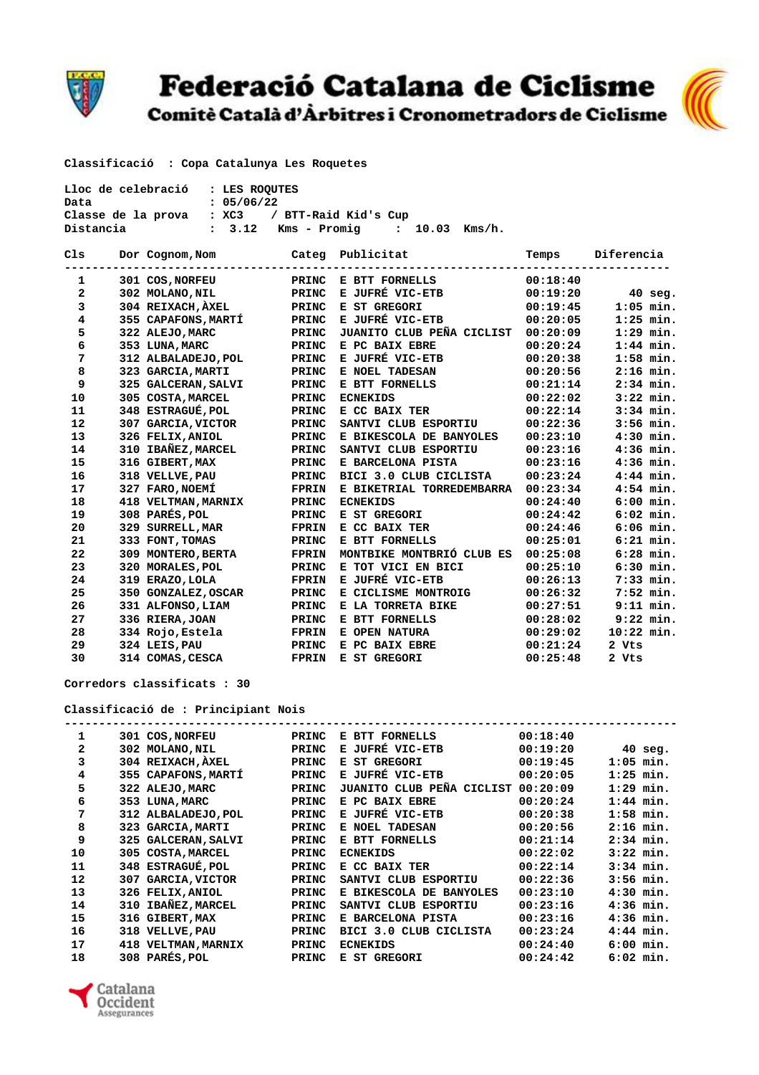

## Federació Catalana de Ciclisme<br>Comitè Català d'Àrbitres i Cronometradors de Ciclisme



 **Classificació : Copa Catalunya Les Roquetes** 

| Lloc de celebració : LES ROOUTES |                                      |  |
|----------------------------------|--------------------------------------|--|
| Data                             | : 05/06/22                           |  |
| Classe de la prova               | : XC3 / BTT-Raid Kid's Cup           |  |
| Distancia                        | : 3.12 Kms – Promig   : 10.03 Kms/h. |  |

| C1s          | Dor Cognom, Nom     |              | Categ Publicitat          | Temps    | Diferencia   |
|--------------|---------------------|--------------|---------------------------|----------|--------------|
| 1            | 301 COS, NORFEU     | PRINC        | E BTT FORNELLS            | 00:18:40 |              |
| $\mathbf{2}$ | 302 MOLANO, NIL     | PRINC        | E JUFRÉ VIC-ETB           | 00:19:20 | $40$ seg.    |
| 3            | 304 REIXACH, AXEL   | PRINC        | E ST GREGORI              | 00:19:45 | $1:05$ min.  |
| 4            | 355 CAPAFONS, MARTI | PRINC        | E JUFRÉ VIC-ETB           | 00:20:05 | $1:25$ min.  |
| 5            | 322 ALEJO, MARC     | PRINC        | JUANITO CLUB PEÑA CICLIST | 00:20:09 | $1:29$ min.  |
| 6            | 353 LUNA, MARC      | PRINC        | E PC BAIX EBRE            | 00:20:24 | $1:44$ min.  |
| 7            | 312 ALBALADEJO, POL | PRINC        | E JUFRÉ VIC-ETB           | 00:20:38 | $1:58$ min.  |
| 8            | 323 GARCIA, MARTI   | <b>PRINC</b> | E NOEL TADESAN            | 00:20:56 | $2:16$ min.  |
| 9            | 325 GALCERAN, SALVI | PRINC        | E BTT FORNELLS            | 00:21:14 | $2:34$ min.  |
| 10           | 305 COSTA, MARCEL   | PRINC        | <b>ECNEKIDS</b>           | 00:22:02 | $3:22$ min.  |
| 11           | 348 ESTRAGUÉ, POL   | <b>PRINC</b> | E CC BAIX TER             | 00:22:14 | $3:34$ min.  |
| 12           | 307 GARCIA, VICTOR  | PRINC        | SANTVI CLUB ESPORTIU      | 00:22:36 | $3:56$ min.  |
| 13           | 326 FELIX, ANIOL    | PRINC        | E BIKESCOLA DE BANYOLES   | 00:23:10 | $4:30$ min.  |
| 14           | 310 IBAÑEZ, MARCEL  | <b>PRINC</b> | SANTVI CLUB ESPORTIU      | 00:23:16 | $4:36$ min.  |
| 15           | 316 GIBERT, MAX     | PRINC        | E BARCELONA PISTA         | 00:23:16 | $4:36$ min.  |
| 16           | 318 VELLVE, PAU     | <b>PRINC</b> | BICI 3.0 CLUB CICLISTA    | 00:23:24 | $4:44$ min.  |
| 17           | 327 FARO, NOEMÍ     | FPRIN        | E BIKETRIAL TORREDEMBARRA | 00:23:34 | $4:54$ min.  |
| 18           | 418 VELTMAN, MARNIX | PRINC        | <b>ECNEKIDS</b>           | 00:24:40 | $6:00$ min.  |
| 19           | 308 PARÉS, POL      | PRINC        | E ST GREGORI              | 00:24:42 | $6:02$ min.  |
| 20           | 329 SURRELL, MAR    | <b>FPRIN</b> | E CC BAIX TER             | 00:24:46 | $6:06$ min.  |
| 21           | 333 FONT, TOMAS     | PRINC        | E BTT FORNELLS            | 00:25:01 | $6:21$ min.  |
| 22           | 309 MONTERO, BERTA  | <b>FPRIN</b> | MONTBIKE MONTBRIÓ CLUB ES | 00:25:08 | $6:28$ min.  |
| 23           | 320 MORALES, POL    | PRINC        | E TOT VICI EN BICI        | 00:25:10 | $6:30$ min.  |
| 24           | 319 ERAZO, LOLA     | <b>FPRIN</b> | E JUFRÉ VIC-ETB           | 00:26:13 | 7:33 min.    |
| 25           | 350 GONZALEZ, OSCAR | PRINC        | E CICLISME MONTROIG       | 00:26:32 | $7:52$ min.  |
| 26           | 331 ALFONSO, LIAM   | PRINC        | E LA TORRETA BIKE         | 00:27:51 | $9:11$ min.  |
| 27           | 336 RIERA, JOAN     | PRINC        | E BTT FORNELLS            | 00:28:02 | $9:22$ min.  |
| 28           | 334 Rojo, Estela    | <b>FPRIN</b> | E OPEN NATURA             | 00:29:02 | $10:22$ min. |
| 29           | 324 LEIS, PAU       | PRINC        | E PC BAIX EBRE            | 00:21:24 | 2 Vts        |
| 30           | 314 COMAS, CESCA    | FPRIN        | E ST GREGORI              | 00:25:48 | 2 Vts        |

 **Corredors classificats : 30** 

## **Classificació de : Principiant Nois**

| 1            |     | 301 COS, NORFEU        | <b>PRINC</b> | E BTT FORNELLS                 | 00:18:40 |             |           |
|--------------|-----|------------------------|--------------|--------------------------------|----------|-------------|-----------|
| $\mathbf{z}$ |     | 302 MOLANO, NIL        | PRINC        | E JUFRÉ VIC-ETB                | 00:19:20 |             | $40$ seg. |
| 3            |     | 304 REIXACH, AXEL      | PRINC        | E ST GREGORI                   | 00:19:45 | $1:05$ min. |           |
| 4            |     | 355 CAPAFONS, MARTÍ    | PRINC        | E JUFRÉ VIC-ETB                | 00:20:05 | $1:25$ min. |           |
| 5            |     | 322 ALEJO, MARC        | PRINC        | JUANITO CLUB PEÑA CICLIST      | 00:20:09 | $1:29$ min. |           |
| 6            | 353 | <b>LUNA, MARC</b>      | PRINC        | E PC BAIX EBRE                 | 00:20:24 | $1:44$ min. |           |
| 7            |     | 312 ALBALADEJO, POL    | PRINC        | E JUFRÉ VIC-ETB                | 00:20:38 | $1:58$ min. |           |
| 8            | 323 | <b>GARCIA, MARTI</b>   | PRINC        | E NOEL TADESAN                 | 00:20:56 | $2:16$ min. |           |
| 9            |     | 325 GALCERAN, SALVI    | PRINC        | E BTT FORNELLS                 | 00:21:14 | $2:34$ min. |           |
| 10           |     | 305 COSTA, MARCEL      | PRINC        | <b>ECNEKIDS</b>                | 00:22:02 | $3:22$ min. |           |
| 11           |     | 348 ESTRAGUÉ, POL      | PRINC        | E CC BAIX TER                  | 00:22:14 | $3:34$ min. |           |
| 12           | 307 | <b>GARCIA, VICTOR</b>  | PRINC        | SANTVI CLUB<br>ESPORTIU        | 00:22:36 | $3:56$ min. |           |
| 13           |     | 326 FELIX, ANIOL       | PRINC        | E BIKESCOLA DE BANYOLES        | 00:23:10 | $4:30$ min. |           |
| 14           | 310 | IBAÑEZ, MARCEL         | PRINC        | SANTVI CLUB<br><b>ESPORTIU</b> | 00:23:16 | $4:36$ min. |           |
| 15           | 316 | <b>GIBERT, MAX</b>     | PRINC        | E BARCELONA PISTA              | 00:23:16 | $4:36$ min. |           |
| 16           | 318 | <b>VELLVE, PAU</b>     | PRINC        | BICI 3.0 CLUB CICLISTA         | 00:23:24 | $4:44$ min. |           |
| 17           | 418 | <b>VELTMAN, MARNIX</b> | PRINC        | <b>ECNEKIDS</b>                | 00:24:40 | $6:00$ min. |           |
| 18           |     | 308 PARÉS, POL         | PRINC        | E ST GREGORI                   | 00:24:42 | $6:02$ min. |           |